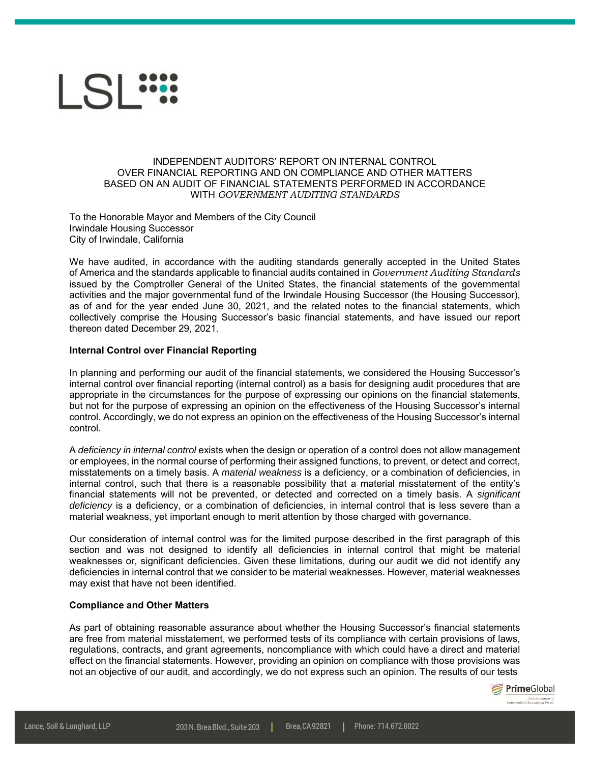

## INDEPENDENT AUDITORS' REPORT ON INTERNAL CONTROL OVER FINANCIAL REPORTING AND ON COMPLIANCE AND OTHER MATTERS BASED ON AN AUDIT OF FINANCIAL STATEMENTS PERFORMED IN ACCORDANCE WITH *GOVERNMENT AUDITING STANDARDS*

To the Honorable Mayor and Members of the City Council Irwindale Housing Successor City of Irwindale, California

We have audited, in accordance with the auditing standards generally accepted in the United States of America and the standards applicable to financial audits contained in *Government Auditing Standards* issued by the Comptroller General of the United States, the financial statements of the governmental activities and the major governmental fund of the Irwindale Housing Successor (the Housing Successor), as of and for the year ended June 30, 2021, and the related notes to the financial statements, which collectively comprise the Housing Successor's basic financial statements, and have issued our report thereon dated December 29, 2021.

## **Internal Control over Financial Reporting**

In planning and performing our audit of the financial statements, we considered the Housing Successor's internal control over financial reporting (internal control) as a basis for designing audit procedures that are appropriate in the circumstances for the purpose of expressing our opinions on the financial statements, but not for the purpose of expressing an opinion on the effectiveness of the Housing Successor's internal control. Accordingly, we do not express an opinion on the effectiveness of the Housing Successor's internal control.

A *deficiency in internal control* exists when the design or operation of a control does not allow management or employees, in the normal course of performing their assigned functions, to prevent, or detect and correct, misstatements on a timely basis. A *material weakness* is a deficiency, or a combination of deficiencies, in internal control, such that there is a reasonable possibility that a material misstatement of the entity's financial statements will not be prevented, or detected and corrected on a timely basis. A *significant deficiency* is a deficiency, or a combination of deficiencies, in internal control that is less severe than a material weakness, yet important enough to merit attention by those charged with governance.

Our consideration of internal control was for the limited purpose described in the first paragraph of this section and was not designed to identify all deficiencies in internal control that might be material weaknesses or, significant deficiencies. Given these limitations, during our audit we did not identify any deficiencies in internal control that we consider to be material weaknesses. However, material weaknesses may exist that have not been identified.

## **Compliance and Other Matters**

As part of obtaining reasonable assurance about whether the Housing Successor's financial statements are free from material misstatement, we performed tests of its compliance with certain provisions of laws, regulations, contracts, and grant agreements, noncompliance with which could have a direct and material effect on the financial statements. However, providing an opinion on compliance with those provisions was not an objective of our audit, and accordingly, we do not express such an opinion. The results of our tests